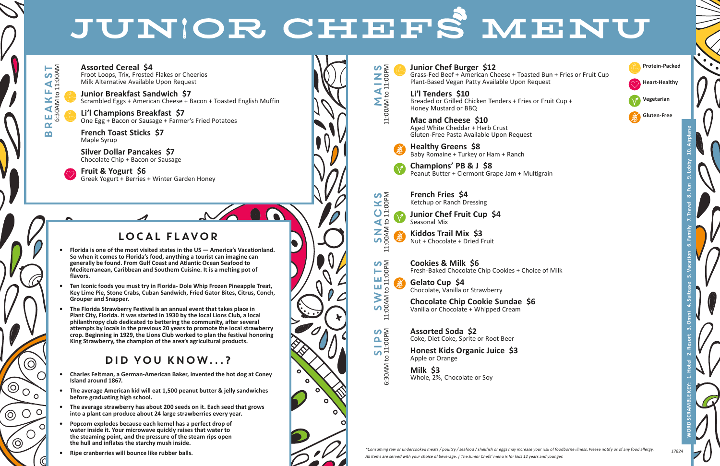**WORD SCRAMBLE KEY: 1. Hotel 2. Resort 3. Omni 4. Suitcase 5. Vacation 6. Family 7. Travel 8. Fun 9. Lobby 10. Airplane**

\*Consuming raw or undercooked meats / poultry / seafood / shellfish or eggs may increase your risk of foodborne illness. Please notify us of any food allergy. All items are served with your choice of beverage. | The Junior Chefs' menu is for kids 12 years and younger.



# LOCAL FLAVOR

- **• Florida is one of the most visited states in the US America's Vacationland. So when it comes to Florida's food, anything a tourist can imagine can generally be found. From Gulf Coast and Atlantic Ocean Seafood to Mediterranean, Caribbean and Southern Cuisine. It is a melting pot of flavors.**
- **• Ten Iconic foods you must try in Florida- Dole Whip Frozen Pineapple Treat, Key Lime Pie, Stone Crabs, Cuban Sandwich, Fried Gator Bites, Citrus, Conch, Grouper and Snapper.**
- **• The Florida Strawberry Festival is an annual event that takes place in Plant City, Florida. It was started in 1930 by the local Lions Club, a local philanthropy club dedicated to bettering the community, after several attempts by locals in the previous 20 years to promote the local strawberry crop. Beginning in 1929, the Lions Club worked to plan the festival honoring King Strawberry, the champion of the area's agricultural products.**

## DID YOU KNOW...?

SIPS:<br>SIPS:<br>SIPS: 6:30AM to 11:00PM

- **• Charles Feltman, a German-American Baker, invented the hot dog at Coney Island around 1867.**
- **• The average American kid will eat 1,500 peanut butter & jelly sandwiches before graduating high school.**
- **• The average strawberry has about 200 seeds on it. Each seed that grows into a plant can produce about 24 large strawberries every year.**
- **• Popcorn explodes because each kernel has a perfect drop of water inside it. Your microwave quickly raises that water to the steaming point, and the pressure of the steam rips open the hull and inflates the starchy mush inside.**
- **• Ripe cranberries will bounce like rubber balls.**



Breakfast

 $\alpha$ m

 $\widehat{\bigcirc}$ 

 $\circ$ 

 $O<sup>o</sup>$ 

 $\bigcirc$ 

 $\Omega$ 

 $\circledcirc$ 

 $\circledcirc$ 

 $\bigcirc$ 

 $E A K$ 

T.AST

 $\mathcal{V}_{\bullet}$ 

6:30AM to 11:00AM

 $\mathsf{C}^1$ 



S<br>M<br>A<br>N<br>N

### **Junior Chef Burger \$12**

Grass-Fed Beef + American Cheese + Toasted Bun + Fries or Fruit Cup Plant-Based Vegan Patty Available Upon Request

#### **Li'l Tenders \$10**

Breaded or Grilled Chicken Tenders + Fries or Fruit Cup + Honey Mustard or BBQ

### **Mac and Cheese \$10**

Aged White Cheddar + Herb Crust Gluten-Free Pasta Available Upon Request



Baby Romaine + Turkey or Ham + Ranch

**Champions' PB & J \$8** Peanut Butter + Clermont Grape Jam + Multigrain



**French Fries \$4** Ketchup or Ranch Dressing

**Junior Chef Fruit Cup \$4** Seasonal Mix

**Kiddos Trail Mix \$3** Nut + Chocolate + Dried Fruit



**Cookies & Milk \$6** Fresh-Baked Chocolate Chip Cookies + Choice of Milk

**Gelato Cup \$4** Chocolate, Vanilla or Strawberry

**Chocolate Chip Cookie Sundae \$6** Vanilla or Chocolate + Whipped Cream

#### **Assorted Soda \$2** Coke, Diet Coke, Sprite or Root Beer

**Honest Kids Organic Juice \$3** Apple or Orange

**Milk \$3** Whole, 2%, Chocolate or Soy

# JUNIOR CHEFS MENU

**Assorted Cereal \$4** Froot Loops, Trix, Frosted Flakes or Cheerios Milk Alternative Available Upon Request

**Junior Breakfast Sandwich \$7** Scrambled Eggs + American Cheese + Bacon + Toasted English Muffin

**Li'l Champions Breakfast \$7** One Egg + Bacon or Sausage + Farmer's Fried Potatoes

**French Toast Sticks \$7** Maple Syrup

**Silver Dollar Pancakes \$7** Chocolate Chip + Bacon or Sausage

**Fruit & Yogurt \$6** Greek Yogurt + Berries + Winter Garden Honey